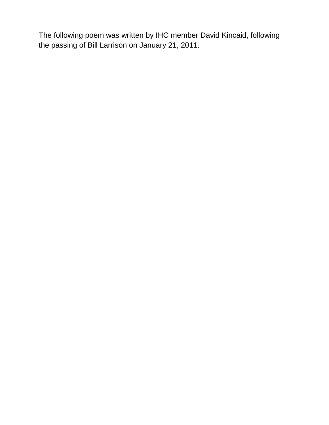The following poem was written by IHC member David Kincaid, following the passing of Bill Larrison on January 21, 2011.